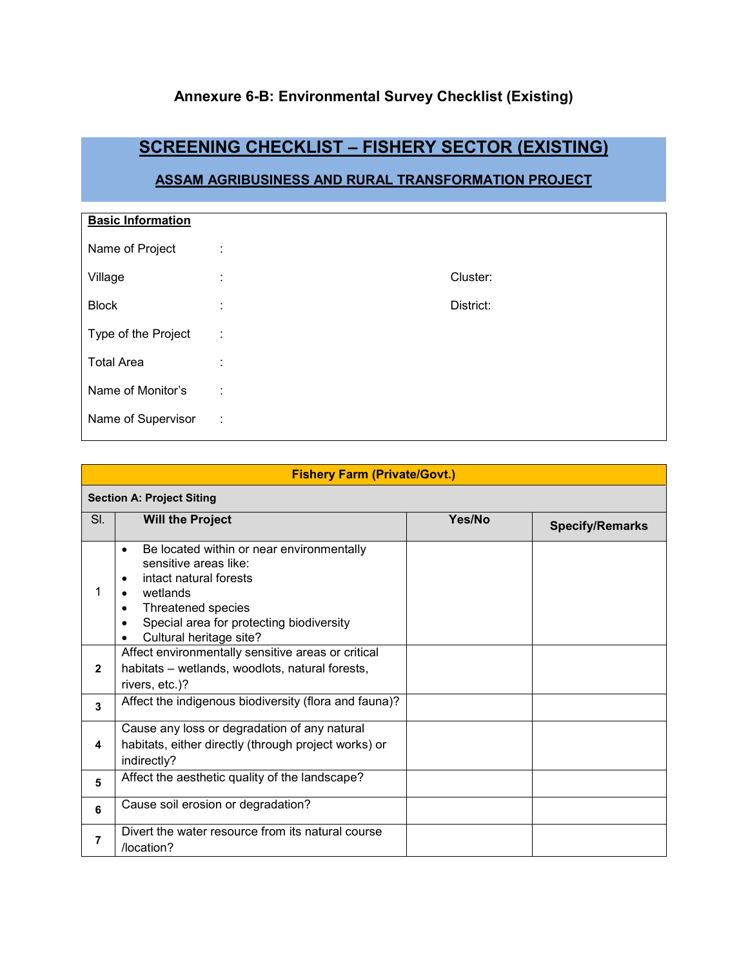### **Annexure 6-B: Environmental Survey Checklist (Existing)**

# **SCREENING CHECKLIST – FISHERY SECTOR (EXISTING)**

### **ASSAM AGRIBUSINESS AND RURAL TRANSFORMATION PROJECT**

| <b>Basic Information</b> |        |           |
|--------------------------|--------|-----------|
| Name of Project          | ÷      |           |
| Village                  | ÷      | Cluster:  |
| <b>Block</b>             | ٠<br>٠ | District: |
| Type of the Project      | ÷      |           |
| <b>Total Area</b>        | İ      |           |
| Name of Monitor's        | ÷      |           |
| Name of Supervisor       | ÷      |           |

| <b>Fishery Farm (Private/Govt.)</b> |                                                                                                                                                                                                                                                                                                                                                                                           |        |                        |  |  |  |
|-------------------------------------|-------------------------------------------------------------------------------------------------------------------------------------------------------------------------------------------------------------------------------------------------------------------------------------------------------------------------------------------------------------------------------------------|--------|------------------------|--|--|--|
|                                     | <b>Section A: Project Siting</b>                                                                                                                                                                                                                                                                                                                                                          |        |                        |  |  |  |
| SI.                                 | <b>Will the Project</b>                                                                                                                                                                                                                                                                                                                                                                   | Yes/No | <b>Specify/Remarks</b> |  |  |  |
| 1<br>$\mathbf{2}$                   | Be located within or near environmentally<br>$\bullet$<br>sensitive areas like:<br>intact natural forests<br>$\bullet$<br>wetlands<br>Threatened species<br>٠<br>Special area for protecting biodiversity<br>$\bullet$<br>Cultural heritage site?<br>$\bullet$<br>Affect environmentally sensitive areas or critical<br>habitats – wetlands, woodlots, natural forests,<br>rivers, etc.)? |        |                        |  |  |  |
| $\mathbf{3}$                        | Affect the indigenous biodiversity (flora and fauna)?                                                                                                                                                                                                                                                                                                                                     |        |                        |  |  |  |
| 4                                   | Cause any loss or degradation of any natural<br>habitats, either directly (through project works) or<br>indirectly?                                                                                                                                                                                                                                                                       |        |                        |  |  |  |
| 5                                   | Affect the aesthetic quality of the landscape?                                                                                                                                                                                                                                                                                                                                            |        |                        |  |  |  |
| 6                                   | Cause soil erosion or degradation?                                                                                                                                                                                                                                                                                                                                                        |        |                        |  |  |  |
| 7                                   | Divert the water resource from its natural course<br>/location?                                                                                                                                                                                                                                                                                                                           |        |                        |  |  |  |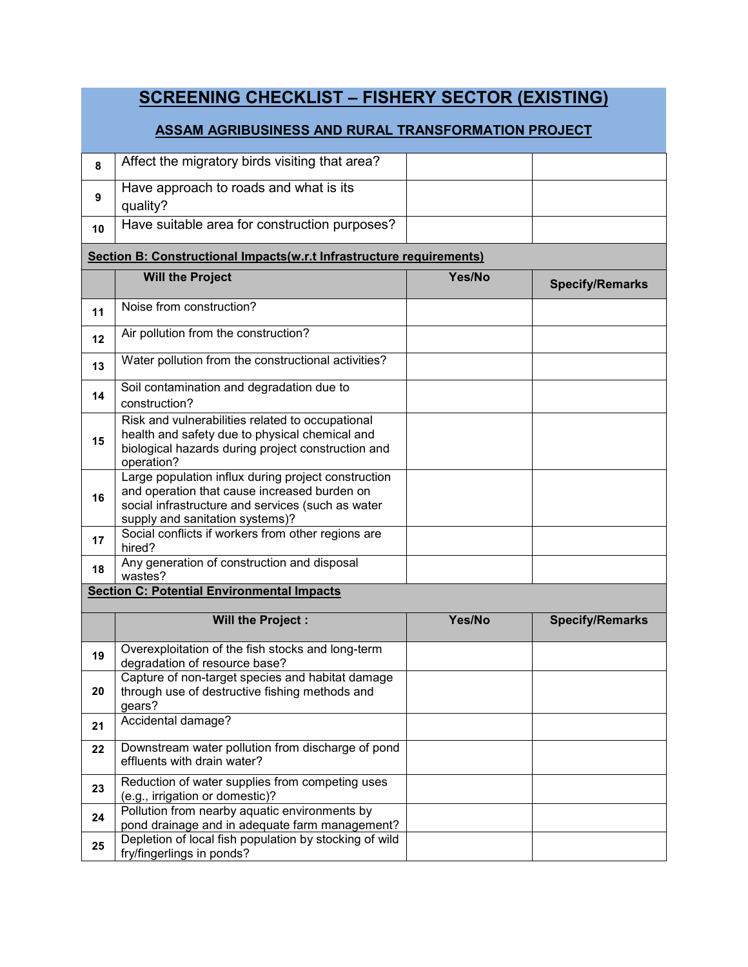|    | <b>SCREENING CHECKLIST - FISHERY SECTOR (EXISTING)</b>                                                                                                                                      |        |                        |  |  |  |
|----|---------------------------------------------------------------------------------------------------------------------------------------------------------------------------------------------|--------|------------------------|--|--|--|
|    | <b>ASSAM AGRIBUSINESS AND RURAL TRANSFORMATION PROJECT</b>                                                                                                                                  |        |                        |  |  |  |
| 8  | Affect the migratory birds visiting that area?                                                                                                                                              |        |                        |  |  |  |
| 9  | Have approach to roads and what is its<br>quality?                                                                                                                                          |        |                        |  |  |  |
| 10 | Have suitable area for construction purposes?                                                                                                                                               |        |                        |  |  |  |
|    | Section B: Constructional Impacts(w.r.t Infrastructure requirements)                                                                                                                        |        |                        |  |  |  |
|    | <b>Will the Project</b>                                                                                                                                                                     | Yes/No | <b>Specify/Remarks</b> |  |  |  |
| 11 | Noise from construction?                                                                                                                                                                    |        |                        |  |  |  |
| 12 | Air pollution from the construction?                                                                                                                                                        |        |                        |  |  |  |
| 13 | Water pollution from the constructional activities?                                                                                                                                         |        |                        |  |  |  |
| 14 | Soil contamination and degradation due to<br>construction?                                                                                                                                  |        |                        |  |  |  |
| 15 | Risk and vulnerabilities related to occupational<br>health and safety due to physical chemical and<br>biological hazards during project construction and<br>operation?                      |        |                        |  |  |  |
| 16 | Large population influx during project construction<br>and operation that cause increased burden on<br>social infrastructure and services (such as water<br>supply and sanitation systems)? |        |                        |  |  |  |
| 17 | Social conflicts if workers from other regions are<br>hired?                                                                                                                                |        |                        |  |  |  |
| 18 | Any generation of construction and disposal<br>wastes?                                                                                                                                      |        |                        |  |  |  |
|    | <b>Section C: Potential Environmental Impacts</b>                                                                                                                                           |        |                        |  |  |  |
|    | <b>Will the Project:</b>                                                                                                                                                                    | Yes/No | <b>Specify/Remarks</b> |  |  |  |
| 19 | Overexploitation of the fish stocks and long-term<br>degradation of resource base?                                                                                                          |        |                        |  |  |  |
| 20 | Capture of non-target species and habitat damage<br>through use of destructive fishing methods and<br>gears?                                                                                |        |                        |  |  |  |
| 21 | Accidental damage?                                                                                                                                                                          |        |                        |  |  |  |
| 22 | Downstream water pollution from discharge of pond<br>effluents with drain water?                                                                                                            |        |                        |  |  |  |
| 23 | Reduction of water supplies from competing uses<br>(e.g., irrigation or domestic)?                                                                                                          |        |                        |  |  |  |
| 24 | Pollution from nearby aquatic environments by<br>pond drainage and in adequate farm management?                                                                                             |        |                        |  |  |  |
| 25 | Depletion of local fish population by stocking of wild<br>fry/fingerlings in ponds?                                                                                                         |        |                        |  |  |  |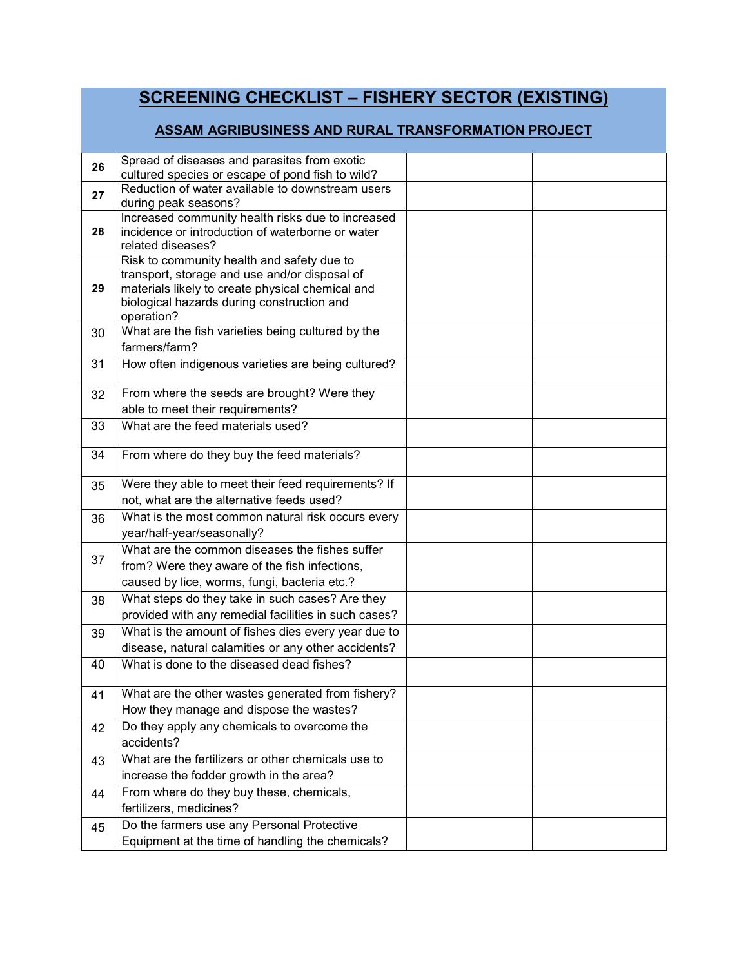# **SCREENING CHECKLIST – FISHERY SECTOR (EXISTING)**

#### **ASSAM AGRIBUSINESS AND RURAL TRANSFORMATION PROJECT**

| 26 | Spread of diseases and parasites from exotic                                                         |  |
|----|------------------------------------------------------------------------------------------------------|--|
|    | cultured species or escape of pond fish to wild?<br>Reduction of water available to downstream users |  |
| 27 | during peak seasons?                                                                                 |  |
|    | Increased community health risks due to increased                                                    |  |
| 28 | incidence or introduction of waterborne or water                                                     |  |
|    | related diseases?                                                                                    |  |
|    | Risk to community health and safety due to                                                           |  |
| 29 | transport, storage and use and/or disposal of<br>materials likely to create physical chemical and    |  |
|    | biological hazards during construction and                                                           |  |
|    | operation?                                                                                           |  |
| 30 | What are the fish varieties being cultured by the                                                    |  |
|    | farmers/farm?                                                                                        |  |
| 31 | How often indigenous varieties are being cultured?                                                   |  |
|    |                                                                                                      |  |
| 32 | From where the seeds are brought? Were they                                                          |  |
|    | able to meet their requirements?                                                                     |  |
| 33 | What are the feed materials used?                                                                    |  |
| 34 | From where do they buy the feed materials?                                                           |  |
|    |                                                                                                      |  |
| 35 | Were they able to meet their feed requirements? If                                                   |  |
|    | not, what are the alternative feeds used?                                                            |  |
| 36 | What is the most common natural risk occurs every                                                    |  |
|    | year/half-year/seasonally?                                                                           |  |
|    | What are the common diseases the fishes suffer                                                       |  |
| 37 | from? Were they aware of the fish infections,                                                        |  |
|    | caused by lice, worms, fungi, bacteria etc.?                                                         |  |
| 38 | What steps do they take in such cases? Are they                                                      |  |
|    | provided with any remedial facilities in such cases?                                                 |  |
| 39 | What is the amount of fishes dies every year due to                                                  |  |
|    | disease, natural calamities or any other accidents?                                                  |  |
| 40 | What is done to the diseased dead fishes?                                                            |  |
| 41 | What are the other wastes generated from fishery?                                                    |  |
|    | How they manage and dispose the wastes?                                                              |  |
| 42 | Do they apply any chemicals to overcome the                                                          |  |
|    | accidents?                                                                                           |  |
| 43 | What are the fertilizers or other chemicals use to                                                   |  |
|    | increase the fodder growth in the area?                                                              |  |
| 44 | From where do they buy these, chemicals,                                                             |  |
|    | fertilizers, medicines?                                                                              |  |
| 45 | Do the farmers use any Personal Protective                                                           |  |
|    | Equipment at the time of handling the chemicals?                                                     |  |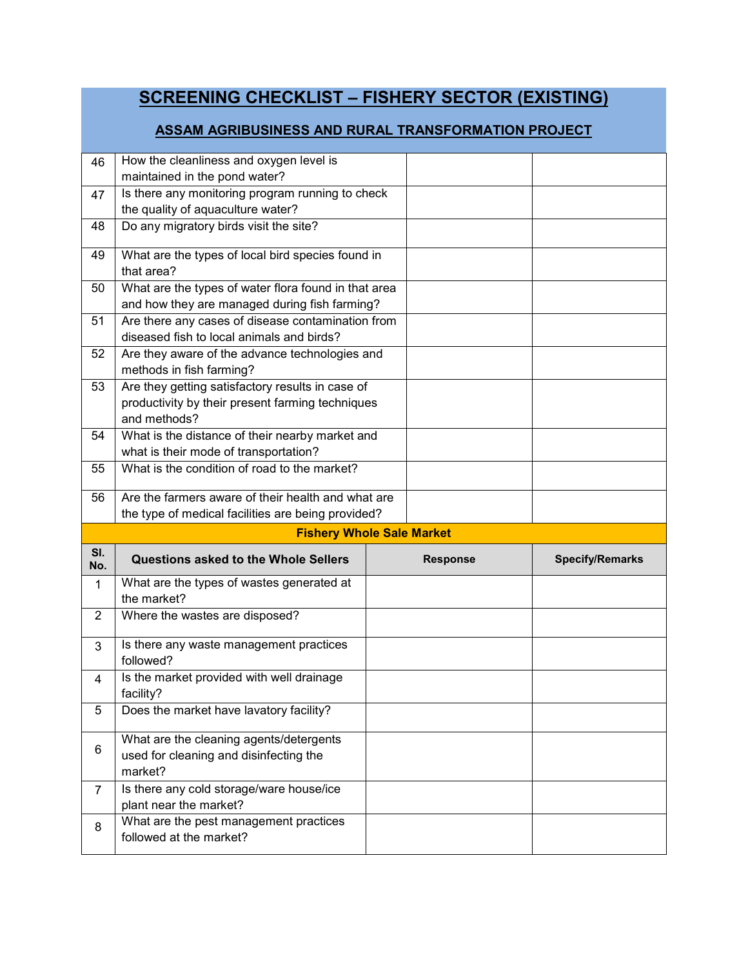|                | <b>SCREENING CHECKLIST - FISHERY SECTOR (EXISTING)</b>                                                               |  |                 |                        |  |
|----------------|----------------------------------------------------------------------------------------------------------------------|--|-----------------|------------------------|--|
|                | ASSAM AGRIBUSINESS AND RURAL TRANSFORMATION PROJECT                                                                  |  |                 |                        |  |
| 46             | How the cleanliness and oxygen level is<br>maintained in the pond water?                                             |  |                 |                        |  |
| 47             | Is there any monitoring program running to check<br>the quality of aquaculture water?                                |  |                 |                        |  |
| 48             | Do any migratory birds visit the site?                                                                               |  |                 |                        |  |
| 49             | What are the types of local bird species found in<br>that area?                                                      |  |                 |                        |  |
| 50             | What are the types of water flora found in that area<br>and how they are managed during fish farming?                |  |                 |                        |  |
| 51             | Are there any cases of disease contamination from<br>diseased fish to local animals and birds?                       |  |                 |                        |  |
| 52             | Are they aware of the advance technologies and<br>methods in fish farming?                                           |  |                 |                        |  |
| 53             | Are they getting satisfactory results in case of<br>productivity by their present farming techniques<br>and methods? |  |                 |                        |  |
| 54             | What is the distance of their nearby market and<br>what is their mode of transportation?                             |  |                 |                        |  |
| 55             | What is the condition of road to the market?                                                                         |  |                 |                        |  |
| 56             | Are the farmers aware of their health and what are<br>the type of medical facilities are being provided?             |  |                 |                        |  |
|                | <b>Fishery Whole Sale Market</b>                                                                                     |  |                 |                        |  |
| SI.<br>No.     | Questions asked to the Whole Sellers                                                                                 |  | <b>Response</b> | <b>Specify/Remarks</b> |  |
| $\mathbf{1}$   | What are the types of wastes generated at<br>the market?                                                             |  |                 |                        |  |
| $\overline{2}$ | Where the wastes are disposed?                                                                                       |  |                 |                        |  |
| 3              | Is there any waste management practices<br>followed?                                                                 |  |                 |                        |  |
| 4              | Is the market provided with well drainage<br>facility?                                                               |  |                 |                        |  |
| 5              | Does the market have lavatory facility?                                                                              |  |                 |                        |  |
| 6              | What are the cleaning agents/detergents<br>used for cleaning and disinfecting the<br>market?                         |  |                 |                        |  |
| $\overline{7}$ | Is there any cold storage/ware house/ice<br>plant near the market?                                                   |  |                 |                        |  |
| 8              | What are the pest management practices<br>followed at the market?                                                    |  |                 |                        |  |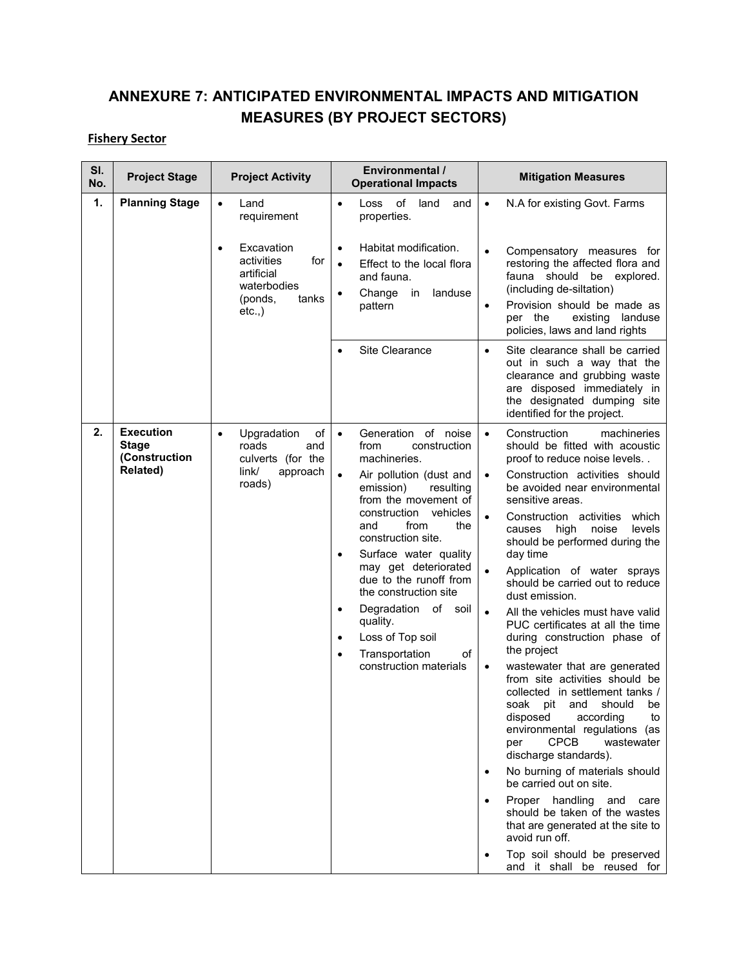### **ANNEXURE 7: ANTICIPATED ENVIRONMENTAL IMPACTS AND MITIGATION MEASURES (BY PROJECT SECTORS)**

#### **Fishery Sector**

| SI.<br>No. | <b>Project Stage</b>                                                 | <b>Project Activity</b>                                                                                          | Environmental /<br><b>Operational Impacts</b>                                                                                                                                                                                                                                                                                                                                                                                                                                                       | <b>Mitigation Measures</b>                                                                                                                                                                                                                                                                                                                                                                                                                                                                                                                                                                                                                                                                                                                                                                                                                                                                                                                                                                                                                                                                                                |
|------------|----------------------------------------------------------------------|------------------------------------------------------------------------------------------------------------------|-----------------------------------------------------------------------------------------------------------------------------------------------------------------------------------------------------------------------------------------------------------------------------------------------------------------------------------------------------------------------------------------------------------------------------------------------------------------------------------------------------|---------------------------------------------------------------------------------------------------------------------------------------------------------------------------------------------------------------------------------------------------------------------------------------------------------------------------------------------------------------------------------------------------------------------------------------------------------------------------------------------------------------------------------------------------------------------------------------------------------------------------------------------------------------------------------------------------------------------------------------------------------------------------------------------------------------------------------------------------------------------------------------------------------------------------------------------------------------------------------------------------------------------------------------------------------------------------------------------------------------------------|
| 1.         | <b>Planning Stage</b>                                                | Land<br>requirement<br>Excavation<br>activities<br>for<br>artificial<br>waterbodies<br>(ponds,<br>tanks<br>etc., | of land<br>Loss<br>and<br>$\bullet$<br>properties.<br>Habitat modification.<br>$\bullet$<br>Effect to the local flora<br>$\bullet$<br>and fauna.<br>Change<br>landuse<br>in<br>$\bullet$<br>pattern<br>Site Clearance<br>Ċ                                                                                                                                                                                                                                                                          | N.A for existing Govt. Farms<br>$\bullet$<br>Compensatory measures for<br>$\bullet$<br>restoring the affected flora and<br>fauna should be explored.<br>(including de-siltation)<br>Provision should be made as<br>$\bullet$<br>per the<br>existing landuse<br>policies, laws and land rights<br>Site clearance shall be carried<br>$\bullet$<br>out in such a way that the<br>clearance and grubbing waste<br>are disposed immediately in<br>the designated dumping site<br>identified for the project.                                                                                                                                                                                                                                                                                                                                                                                                                                                                                                                                                                                                                  |
| 2.         | <b>Execution</b><br><b>Stage</b><br>(Construction<br><b>Related)</b> | Upgradation<br>of<br>$\bullet$<br>roads<br>and<br>culverts (for the<br>link/<br>approach<br>roads)               | Generation of noise<br>$\bullet$<br>construction<br>from<br>machineries.<br>Air pollution (dust and<br>$\bullet$<br>emission)<br>resulting<br>from the movement of<br>vehicles<br>construction<br>and<br>from<br>the<br>construction site.<br>Surface water quality<br>٠<br>may get deteriorated<br>due to the runoff from<br>the construction site<br>Degradation of soil<br>$\bullet$<br>quality.<br>Loss of Top soil<br>$\bullet$<br>Transportation<br>of<br>$\bullet$<br>construction materials | $\bullet$<br>Construction<br>machineries<br>should be fitted with acoustic<br>proof to reduce noise levels<br>Construction activities should<br>$\bullet$<br>be avoided near environmental<br>sensitive areas.<br>Construction activities<br>$\bullet$<br>which<br>high<br>noise<br>levels<br>causes<br>should be performed during the<br>day time<br>Application of water sprays<br>should be carried out to reduce<br>dust emission.<br>All the vehicles must have valid<br>$\bullet$<br>PUC certificates at all the time<br>during construction phase of<br>the project<br>wastewater that are generated<br>$\bullet$<br>from site activities should be<br>collected in settlement tanks /<br>soak pit and<br>should<br>be<br>disposed<br>according<br>to<br>environmental regulations (as<br><b>CPCB</b><br>wastewater<br>per<br>discharge standards).<br>No burning of materials should<br>be carried out on site.<br>Proper handling and<br>care<br>$\bullet$<br>should be taken of the wastes<br>that are generated at the site to<br>avoid run off.<br>Top soil should be preserved<br>and it shall be reused for |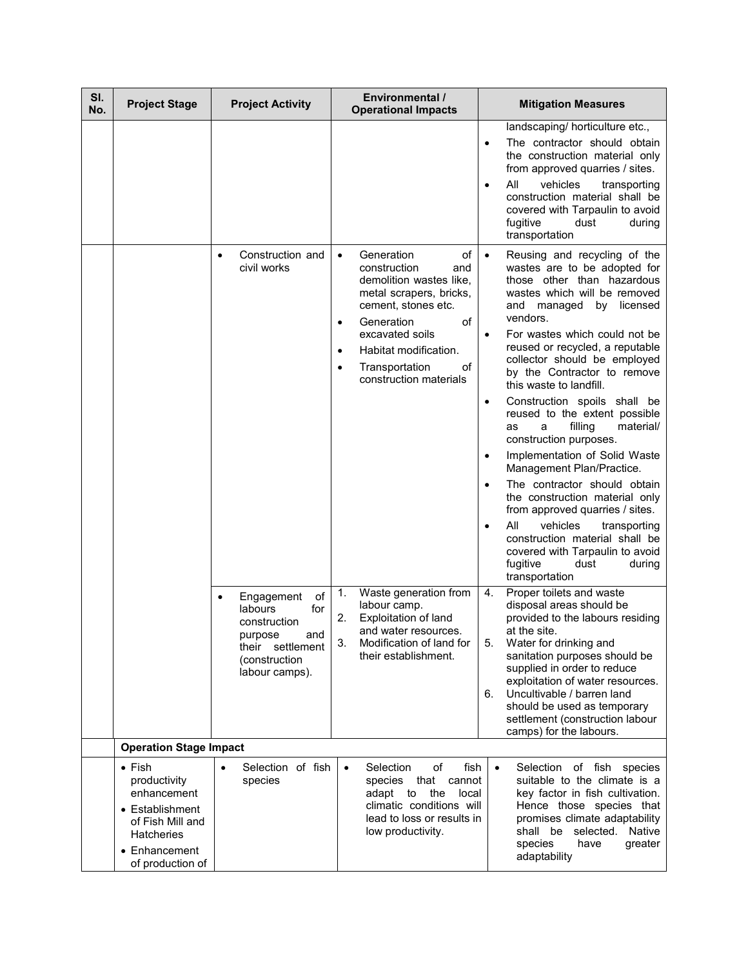| SI.<br>No. | <b>Project Stage</b>                                                                                                                    | <b>Project Activity</b>                                                                                                     | Environmental /<br><b>Operational Impacts</b>                                                                                                                                                                                                                                              | <b>Mitigation Measures</b>                                                                                                                                                                                                                                                                                                                                                                                                                                                                                                                                                                                                                                                                                                                                                                                                                                      |
|------------|-----------------------------------------------------------------------------------------------------------------------------------------|-----------------------------------------------------------------------------------------------------------------------------|--------------------------------------------------------------------------------------------------------------------------------------------------------------------------------------------------------------------------------------------------------------------------------------------|-----------------------------------------------------------------------------------------------------------------------------------------------------------------------------------------------------------------------------------------------------------------------------------------------------------------------------------------------------------------------------------------------------------------------------------------------------------------------------------------------------------------------------------------------------------------------------------------------------------------------------------------------------------------------------------------------------------------------------------------------------------------------------------------------------------------------------------------------------------------|
|            |                                                                                                                                         |                                                                                                                             |                                                                                                                                                                                                                                                                                            | landscaping/ horticulture etc.,<br>The contractor should obtain<br>$\bullet$<br>the construction material only<br>from approved quarries / sites.<br>All<br>vehicles<br>transporting<br>$\bullet$<br>construction material shall be<br>covered with Tarpaulin to avoid<br>fugitive<br>dust<br>during<br>transportation                                                                                                                                                                                                                                                                                                                                                                                                                                                                                                                                          |
|            |                                                                                                                                         | Construction and<br>civil works                                                                                             | Generation<br>of<br>$\bullet$<br>construction<br>and<br>demolition wastes like,<br>metal scrapers, bricks,<br>cement, stones etc.<br>Generation<br>of<br>$\bullet$<br>excavated soils<br>Habitat modification.<br>$\bullet$<br>Transportation<br>of<br>$\bullet$<br>construction materials | Reusing and recycling of the<br>$\bullet$<br>wastes are to be adopted for<br>those other than hazardous<br>wastes which will be removed<br>and<br>managed<br>by licensed<br>vendors.<br>For wastes which could not be<br>$\bullet$<br>reused or recycled, a reputable<br>collector should be employed<br>by the Contractor to remove<br>this waste to landfill.<br>Construction spoils shall be<br>$\bullet$<br>reused to the extent possible<br>filling<br>material/<br>a<br>as<br>construction purposes.<br>Implementation of Solid Waste<br>$\bullet$<br>Management Plan/Practice.<br>The contractor should obtain<br>$\bullet$<br>the construction material only<br>from approved quarries / sites.<br>All<br>vehicles<br>transporting<br>construction material shall be<br>covered with Tarpaulin to avoid<br>fugitive<br>dust<br>during<br>transportation |
|            |                                                                                                                                         | of<br>Engagement<br>labours<br>for<br>construction<br>and<br>purpose<br>their settlement<br>(construction<br>labour camps). | Waste generation from<br>1.<br>labour camp.<br>2.<br>Exploitation of land<br>and water resources.<br>3.<br>Modification of land for<br>their establishment.                                                                                                                                | 4.<br>Proper toilets and waste<br>disposal areas should be<br>provided to the labours residing<br>at the site.<br>5.<br>Water for drinking and<br>sanitation purposes should be<br>supplied in order to reduce<br>exploitation of water resources.<br>Uncultivable / barren land<br>6.<br>should be used as temporary<br>settlement (construction labour<br>camps) for the labours.                                                                                                                                                                                                                                                                                                                                                                                                                                                                             |
|            | <b>Operation Stage Impact</b>                                                                                                           |                                                                                                                             |                                                                                                                                                                                                                                                                                            |                                                                                                                                                                                                                                                                                                                                                                                                                                                                                                                                                                                                                                                                                                                                                                                                                                                                 |
|            | $\bullet$ Fish<br>productivity<br>enhancement<br>• Establishment<br>of Fish Mill and<br>Hatcheries<br>• Enhancement<br>of production of | Selection of fish<br>$\bullet$<br>species                                                                                   | Selection<br>of<br>fish<br>$\bullet$<br>species that cannot<br>adapt to<br>the<br>local<br>climatic conditions will<br>lead to loss or results in<br>low productivity.                                                                                                                     | Selection of fish species<br>$\bullet$<br>suitable to the climate is a<br>key factor in fish cultivation.<br>Hence those species that<br>promises climate adaptability<br>shall be selected. Native<br>species<br>have<br>greater<br>adaptability                                                                                                                                                                                                                                                                                                                                                                                                                                                                                                                                                                                                               |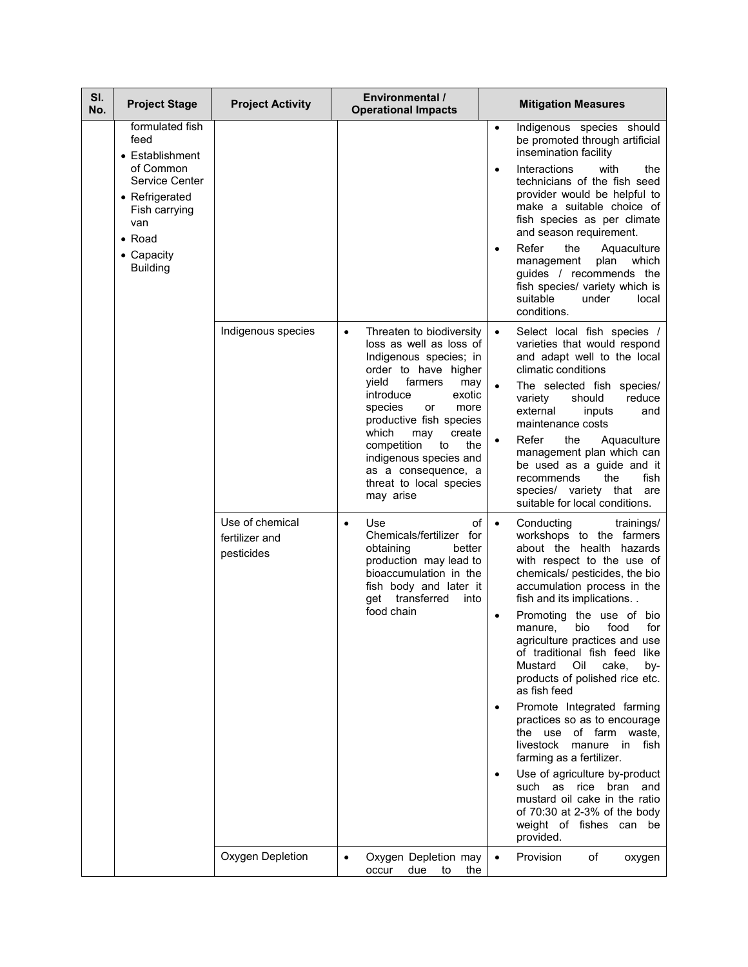| SI.<br>No. | <b>Project Stage</b>                                                                    | <b>Project Activity</b>                         | Environmental /<br><b>Operational Impacts</b>                                                                                                                                      | <b>Mitigation Measures</b>                                                                                                                                                                                                |
|------------|-----------------------------------------------------------------------------------------|-------------------------------------------------|------------------------------------------------------------------------------------------------------------------------------------------------------------------------------------|---------------------------------------------------------------------------------------------------------------------------------------------------------------------------------------------------------------------------|
|            | formulated fish<br>feed<br>• Establishment                                              |                                                 |                                                                                                                                                                                    | Indigenous species should<br>$\bullet$<br>be promoted through artificial<br>insemination facility                                                                                                                         |
|            | of Common<br>Service Center<br>• Refrigerated<br>Fish carrying<br>van<br>$\bullet$ Road |                                                 |                                                                                                                                                                                    | Interactions<br>with<br>the<br>$\bullet$<br>technicians of the fish seed<br>provider would be helpful to<br>make a suitable choice of<br>fish species as per climate<br>and season requirement.                           |
|            | • Capacity<br><b>Building</b>                                                           |                                                 |                                                                                                                                                                                    | Refer<br>the<br>Aquaculture<br>plan<br>which<br>management<br>guides / recommends the<br>fish species/ variety which is<br>suitable<br>under<br>local<br>conditions.                                                      |
|            |                                                                                         | Indigenous species                              | Threaten to biodiversity<br>$\bullet$<br>loss as well as loss of<br>Indigenous species; in<br>order to have higher                                                                 | Select local fish species /<br>$\bullet$<br>varieties that would respond<br>and adapt well to the local<br>climatic conditions                                                                                            |
|            |                                                                                         |                                                 | vield<br>farmers<br>may<br>introduce<br>exotic<br>species<br>more<br>or<br>productive fish species<br>which<br>create<br>may                                                       | The selected fish species/<br>variety<br>reduce<br>should<br>external<br>inputs<br>and<br>maintenance costs<br>Refer<br>the<br>Aquaculture<br>$\bullet$                                                                   |
|            |                                                                                         |                                                 | competition<br>the<br>to<br>indigenous species and<br>as a consequence, a<br>threat to local species<br>may arise                                                                  | management plan which can<br>be used as a guide and it<br>the<br>fish<br>recommends<br>species/ variety that are<br>suitable for local conditions.                                                                        |
|            |                                                                                         | Use of chemical<br>fertilizer and<br>pesticides | of<br>Use<br>$\bullet$<br>Chemicals/fertilizer for<br>obtaining<br>better<br>production may lead to<br>bioaccumulation in the<br>fish body and later it<br>get transferred<br>into | Conducting<br>trainings/<br>$\bullet$<br>workshops to the farmers<br>about the health hazards<br>with respect to the use of<br>chemicals/ pesticides, the bio<br>accumulation process in the<br>fish and its implications |
|            |                                                                                         |                                                 | food chain                                                                                                                                                                         | Promoting the use of bio<br>food<br>for<br>bio<br>manure,<br>agriculture practices and use<br>of traditional fish feed like<br>Mustard<br>Oil<br>cake,<br>by-<br>products of polished rice etc.<br>as fish feed           |
|            |                                                                                         |                                                 |                                                                                                                                                                                    | Promote Integrated farming<br>practices so as to encourage<br>the use of farm waste.<br>livestock<br>manure<br>in<br>fish<br>farming as a fertilizer.                                                                     |
|            |                                                                                         |                                                 |                                                                                                                                                                                    | Use of agriculture by-product<br>such as rice<br>bran and<br>mustard oil cake in the ratio<br>of 70:30 at 2-3% of the body<br>weight of fishes can be<br>provided.                                                        |
|            |                                                                                         | Oxygen Depletion                                | Oxygen Depletion may<br>$\bullet$<br>occur<br>due to<br>the                                                                                                                        | Provision<br>of<br>oxygen<br>$\bullet$                                                                                                                                                                                    |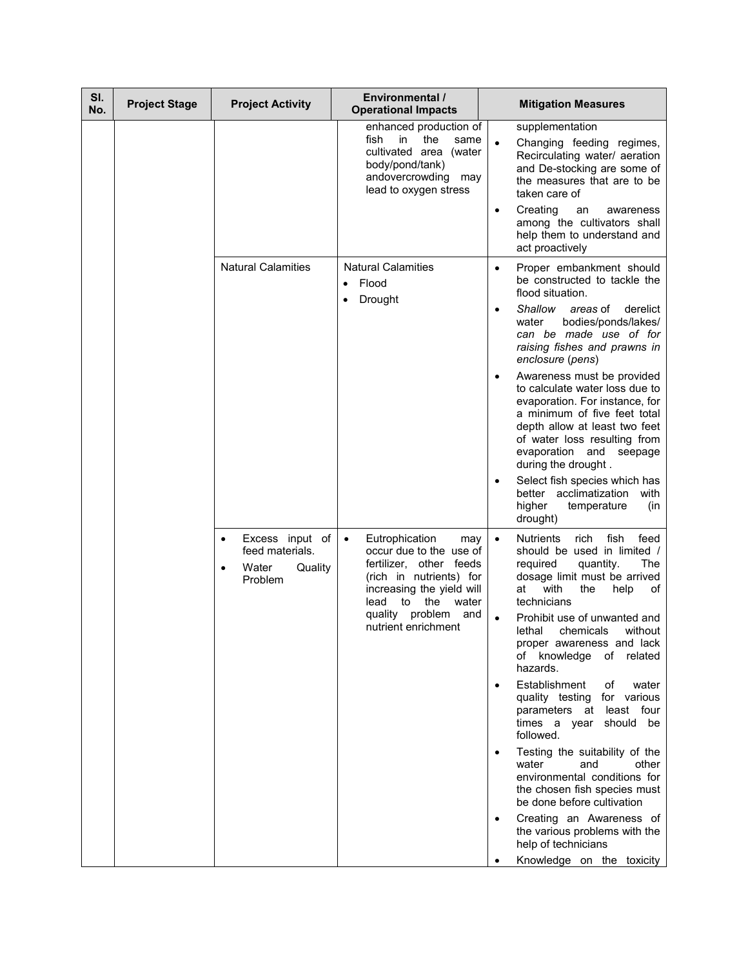| SI.<br>No. | <b>Project Stage</b> | <b>Project Activity</b>                                                        | Environmental /<br><b>Operational Impacts</b>                                                                                                                                                                                      | <b>Mitigation Measures</b>                                                                                                                                                                                                                                                                                                                                                                                                                                                                                                                                                                                                                                                                                                                                            |
|------------|----------------------|--------------------------------------------------------------------------------|------------------------------------------------------------------------------------------------------------------------------------------------------------------------------------------------------------------------------------|-----------------------------------------------------------------------------------------------------------------------------------------------------------------------------------------------------------------------------------------------------------------------------------------------------------------------------------------------------------------------------------------------------------------------------------------------------------------------------------------------------------------------------------------------------------------------------------------------------------------------------------------------------------------------------------------------------------------------------------------------------------------------|
|            |                      |                                                                                | enhanced production of<br>fish<br>in<br>the<br>same<br>cultivated area (water<br>body/pond/tank)<br>andovercrowding may<br>lead to oxygen stress                                                                                   | supplementation<br>Changing feeding regimes,<br>Recirculating water/ aeration<br>and De-stocking are some of<br>the measures that are to be<br>taken care of<br>Creating<br>an<br>awareness<br>$\bullet$<br>among the cultivators shall<br>help them to understand and<br>act proactively                                                                                                                                                                                                                                                                                                                                                                                                                                                                             |
|            |                      | <b>Natural Calamities</b>                                                      | <b>Natural Calamities</b><br>Flood<br>$\bullet$<br>Drought<br>$\bullet$                                                                                                                                                            | Proper embankment should<br>$\bullet$<br>be constructed to tackle the<br>flood situation.<br>Shallow<br>areas of<br>derelict<br>٠<br>bodies/ponds/lakes/<br>water<br>can be made use of for<br>raising fishes and prawns in<br>enclosure (pens)<br>Awareness must be provided<br>$\bullet$<br>to calculate water loss due to<br>evaporation. For instance, for<br>a minimum of five feet total<br>depth allow at least two feet<br>of water loss resulting from<br>evaporation and seepage<br>during the drought.<br>Select fish species which has<br>$\bullet$<br>better acclimatization<br>with<br>higher<br>temperature<br>(in<br>drought)                                                                                                                         |
|            |                      | Excess input of<br>$\bullet$<br>feed materials.<br>Water<br>Quality<br>Problem | Eutrophication<br>$\bullet$<br>may<br>occur due to the use of<br>fertilizer, other feeds<br>(rich in nutrients) for<br>increasing the yield will<br>to<br>the<br>water<br>lead<br>quality<br>problem<br>and<br>nutrient enrichment | <b>Nutrients</b><br>fish<br>feed<br>rich<br>$\bullet$<br>should be used in limited /<br>required<br>quantity.<br>The<br>dosage limit must be arrived<br>with<br>the<br>at<br>help<br>οf<br>technicians<br>Prohibit use of unwanted and<br>$\bullet$<br>lethal<br>chemicals<br>without<br>proper awareness and lack<br>of knowledge of related<br>hazards.<br>Establishment<br>of<br>water<br>quality testing for various<br>parameters at least four<br>times a year should be<br>followed.<br>Testing the suitability of the<br>other<br>water<br>and<br>environmental conditions for<br>the chosen fish species must<br>be done before cultivation<br>Creating an Awareness of<br>the various problems with the<br>help of technicians<br>Knowledge on the toxicity |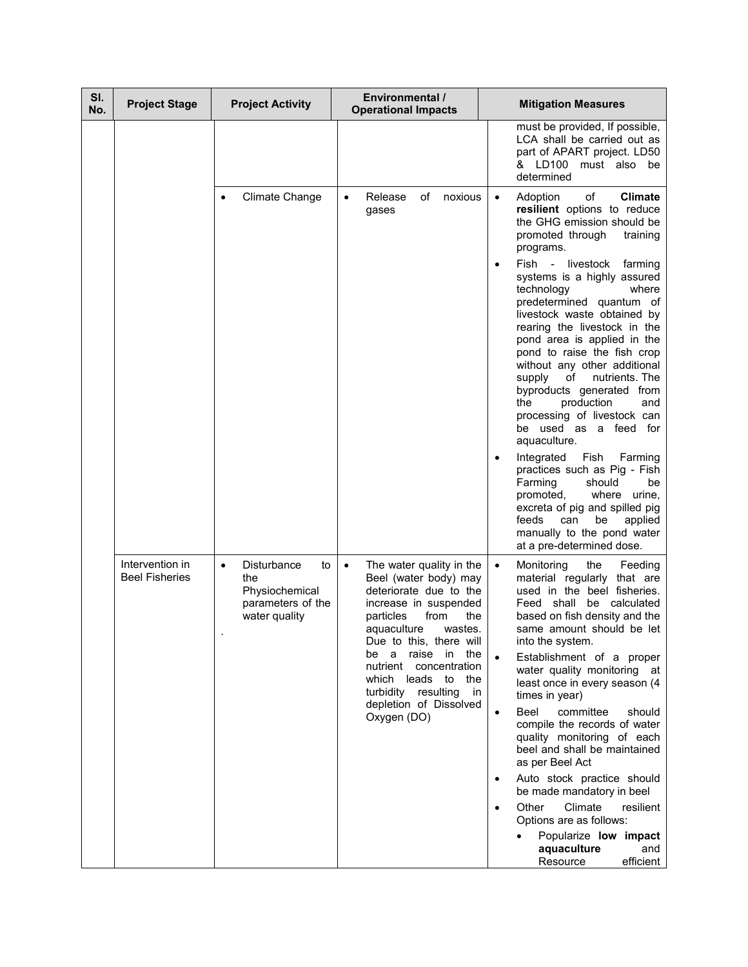| SI.<br>No. | <b>Project Stage</b>                     | <b>Project Activity</b>                                                                              | Environmental /<br><b>Operational Impacts</b>                                                                                                                                                                                                                                                                                                                | <b>Mitigation Measures</b>                                                                                                                                                                                                                                                                                                                                                                                                                                                                                                                                                                                                                                                                                                                                                                                                                                                              |
|------------|------------------------------------------|------------------------------------------------------------------------------------------------------|--------------------------------------------------------------------------------------------------------------------------------------------------------------------------------------------------------------------------------------------------------------------------------------------------------------------------------------------------------------|-----------------------------------------------------------------------------------------------------------------------------------------------------------------------------------------------------------------------------------------------------------------------------------------------------------------------------------------------------------------------------------------------------------------------------------------------------------------------------------------------------------------------------------------------------------------------------------------------------------------------------------------------------------------------------------------------------------------------------------------------------------------------------------------------------------------------------------------------------------------------------------------|
|            |                                          |                                                                                                      |                                                                                                                                                                                                                                                                                                                                                              | must be provided, If possible,<br>LCA shall be carried out as<br>part of APART project. LD50<br>& LD100<br>must also be<br>determined                                                                                                                                                                                                                                                                                                                                                                                                                                                                                                                                                                                                                                                                                                                                                   |
|            |                                          | <b>Climate Change</b>                                                                                | of<br>noxious<br>Release<br>gases                                                                                                                                                                                                                                                                                                                            | of<br>Adoption<br><b>Climate</b><br>$\bullet$<br>resilient options to reduce<br>the GHG emission should be<br>promoted through<br>training<br>programs.<br>Fish -<br>livestock<br>farming<br>$\bullet$<br>systems is a highly assured<br>technology<br>where<br>predetermined quantum of<br>livestock waste obtained by<br>rearing the livestock in the<br>pond area is applied in the<br>pond to raise the fish crop<br>without any other additional<br>of<br>nutrients. The<br>supply<br>byproducts generated from<br>production<br>the<br>and<br>processing of livestock can<br>be used as a feed for<br>aquaculture.<br>Integrated<br>Fish<br>Farming<br>٠<br>practices such as Pig - Fish<br>Farming<br>should<br>be<br>promoted,<br>where<br>urine,<br>excreta of pig and spilled pig<br>can<br>be<br>feeds<br>applied<br>manually to the pond water<br>at a pre-determined dose. |
|            | Intervention in<br><b>Beel Fisheries</b> | <b>Disturbance</b><br>to<br>$\bullet$<br>the<br>Physiochemical<br>parameters of the<br>water quality | The water quality in the<br>$\bullet$<br>Beel (water body) may<br>deteriorate due to the<br>increase in suspended<br>particles<br>from<br>the<br>aquaculture<br>wastes.<br>Due to this, there will<br>a<br>raise<br>in<br>the<br>be<br>nutrient concentration<br>which leads to the<br>turbidity resulting<br>in in<br>depletion of Dissolved<br>Oxygen (DO) | Monitoring<br>the<br>Feeding<br>$\bullet$<br>material regularly that are<br>used in the beel fisheries.<br>shall be calculated<br>Feed<br>based on fish density and the<br>same amount should be let<br>into the system.<br>Establishment of a proper<br>water quality monitoring at<br>least once in every season (4<br>times in year)<br><b>Beel</b><br>committee<br>should<br>$\bullet$<br>compile the records of water<br>quality monitoring of each<br>beel and shall be maintained<br>as per Beel Act<br>Auto stock practice should<br>$\bullet$<br>be made mandatory in beel<br>Other<br>Climate<br>resilient<br>$\bullet$<br>Options are as follows:<br>Popularize low impact<br>aquaculture<br>and<br>Resource<br>efficient                                                                                                                                                    |